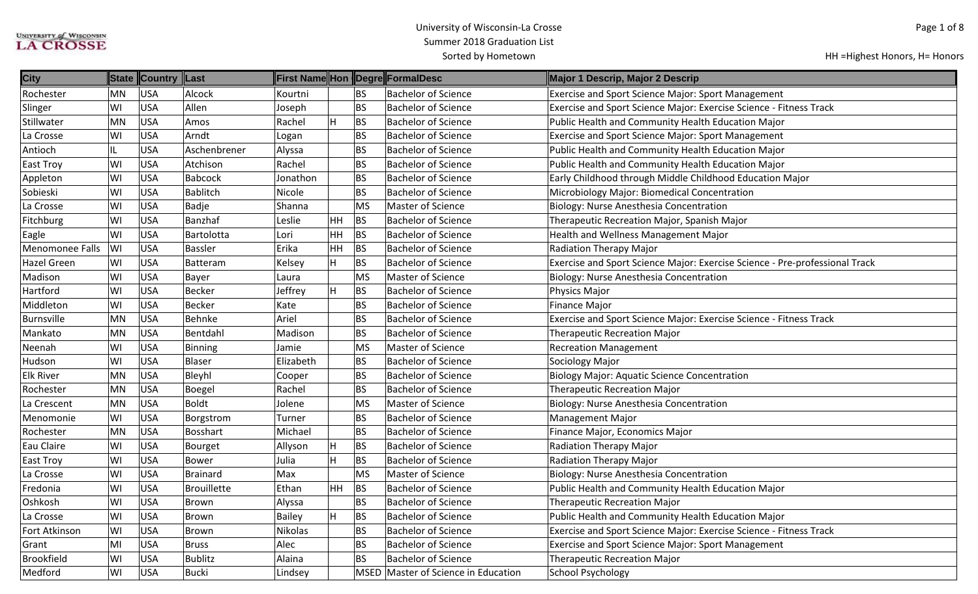| <b>City</b>       |           | State Country Last |                    |           |         |           | First Name Hon Degre FormalDesc     | Major 1 Descrip, Major 2 Descrip                                            |
|-------------------|-----------|--------------------|--------------------|-----------|---------|-----------|-------------------------------------|-----------------------------------------------------------------------------|
| Rochester         | MN        | <b>USA</b>         | Alcock             | Kourtni   |         | <b>BS</b> | <b>Bachelor of Science</b>          | <b>Exercise and Sport Science Major: Sport Management</b>                   |
| Slinger           | WI        | <b>USA</b>         | Allen              | Joseph    |         | <b>BS</b> | <b>Bachelor of Science</b>          | Exercise and Sport Science Major: Exercise Science - Fitness Track          |
| Stillwater        | <b>MN</b> | <b>USA</b>         | Amos               | Rachel    | H       | <b>BS</b> | <b>Bachelor of Science</b>          | Public Health and Community Health Education Major                          |
| La Crosse         | WI        | USA                | Arndt              | Logan     |         | <b>BS</b> | <b>Bachelor of Science</b>          | <b>Exercise and Sport Science Major: Sport Management</b>                   |
| Antioch           | IL        | USA                | Aschenbrener       | Alyssa    |         | <b>BS</b> | <b>Bachelor of Science</b>          | Public Health and Community Health Education Major                          |
| East Troy         | lwı       | USA                | Atchison           | Rachel    |         | <b>BS</b> | <b>Bachelor of Science</b>          | Public Health and Community Health Education Major                          |
| Appleton          | WI        | <b>USA</b>         | <b>Babcock</b>     | Jonathon  |         | <b>BS</b> | <b>Bachelor of Science</b>          | Early Childhood through Middle Childhood Education Major                    |
| Sobieski          | WI        | USA                | <b>Bablitch</b>    | Nicole    |         | <b>BS</b> | <b>Bachelor of Science</b>          | Microbiology Major: Biomedical Concentration                                |
| La Crosse         | WI        | <b>USA</b>         | Badje              | Shanna    |         | <b>MS</b> | Master of Science                   | Biology: Nurse Anesthesia Concentration                                     |
| Fitchburg         | WI        | USA                | Banzhaf            | Leslie    | HH      | <b>BS</b> | <b>Bachelor of Science</b>          | Therapeutic Recreation Major, Spanish Major                                 |
| Eagle             | lwı       | USA                | Bartolotta         | Lori      | HH      | <b>BS</b> | <b>Bachelor of Science</b>          | Health and Wellness Management Major                                        |
| Menomonee Falls   | W         | USA                | <b>Bassler</b>     | Erika     | HH      | <b>BS</b> | <b>Bachelor of Science</b>          | <b>Radiation Therapy Major</b>                                              |
| Hazel Green       | lwı       | USA                | <b>Batteram</b>    | Kelsey    | lн      | <b>BS</b> | <b>Bachelor of Science</b>          | Exercise and Sport Science Major: Exercise Science - Pre-professional Track |
| Madison           | W١        | <b>USA</b>         | Bayer              | Laura     |         | <b>MS</b> | Master of Science                   | Biology: Nurse Anesthesia Concentration                                     |
| Hartford          | WI        | <b>USA</b>         | <b>Becker</b>      | Jeffrey   | H.      | <b>BS</b> | <b>Bachelor of Science</b>          | Physics Major                                                               |
| Middleton         | WI        | <b>USA</b>         | <b>Becker</b>      | Kate      |         | <b>BS</b> | <b>Bachelor of Science</b>          | <b>Finance Major</b>                                                        |
| <b>Burnsville</b> | MN        | <b>USA</b>         | Behnke             | Ariel     |         | <b>BS</b> | <b>Bachelor of Science</b>          | Exercise and Sport Science Major: Exercise Science - Fitness Track          |
| Mankato           | MN        | USA                | Bentdahl           | Madison   |         | <b>BS</b> | <b>Bachelor of Science</b>          | <b>Therapeutic Recreation Major</b>                                         |
| Neenah            | WI        | <b>USA</b>         | <b>Binning</b>     | Jamie     |         | MS        | <b>Master of Science</b>            | <b>Recreation Management</b>                                                |
| Hudson            | WI        | <b>USA</b>         | <b>Blaser</b>      | Elizabeth |         | <b>BS</b> | <b>Bachelor of Science</b>          | Sociology Major                                                             |
| <b>Elk River</b>  | MN        | <b>USA</b>         | Bleyhl             | Cooper    |         | <b>BS</b> | <b>Bachelor of Science</b>          | <b>Biology Major: Aquatic Science Concentration</b>                         |
| Rochester         | MN        | <b>USA</b>         | Boegel             | Rachel    |         | <b>BS</b> | <b>Bachelor of Science</b>          | <b>Therapeutic Recreation Major</b>                                         |
| La Crescent       | MN        | USA                | <b>Boldt</b>       | Jolene    |         | <b>MS</b> | <b>Master of Science</b>            | Biology: Nurse Anesthesia Concentration                                     |
| Menomonie         | WI        | USA                | Borgstrom          | Turner    |         | <b>BS</b> | <b>Bachelor of Science</b>          | <b>Management Major</b>                                                     |
| Rochester         | MN        | USA                | <b>Bosshart</b>    | Michael   |         | <b>BS</b> | <b>Bachelor of Science</b>          | Finance Major, Economics Major                                              |
| Eau Claire        | WI        | <b>USA</b>         | <b>Bourget</b>     | Allyson   | H       | <b>BS</b> | <b>Bachelor of Science</b>          | Radiation Therapy Major                                                     |
| East Troy         | WI        | <b>USA</b>         | Bower              | Julia     | $\sf H$ | <b>BS</b> | <b>Bachelor of Science</b>          | Radiation Therapy Major                                                     |
| La Crosse         | WI        | USA                | <b>Brainard</b>    | Max       |         | <b>MS</b> | Master of Science                   | Biology: Nurse Anesthesia Concentration                                     |
| Fredonia          | WI        | <b>USA</b>         | <b>Brouillette</b> | Ethan     | HH      | <b>BS</b> | <b>Bachelor of Science</b>          | Public Health and Community Health Education Major                          |
| Oshkosh           | WI        | USA                | Brown              | Alyssa    |         | <b>BS</b> | <b>Bachelor of Science</b>          | <b>Therapeutic Recreation Major</b>                                         |
| La Crosse         | WI        | USA                | Brown              | Bailey    | H.      | <b>BS</b> | <b>Bachelor of Science</b>          | Public Health and Community Health Education Major                          |
| Fort Atkinson     | WI        | USA                | Brown              | Nikolas   |         | <b>BS</b> | <b>Bachelor of Science</b>          | Exercise and Sport Science Major: Exercise Science - Fitness Track          |
| Grant             | MI        | <b>USA</b>         | <b>Bruss</b>       | Alec      |         | <b>BS</b> | <b>Bachelor of Science</b>          | <b>Exercise and Sport Science Major: Sport Management</b>                   |
| <b>Brookfield</b> | WI        | USA                | <b>Bublitz</b>     | Alaina    |         | <b>BS</b> | <b>Bachelor of Science</b>          | <b>Therapeutic Recreation Major</b>                                         |
| Medford           | WI        | USA                | <b>Bucki</b>       | Lindsey   |         |           | MSED Master of Science in Education | <b>School Psychology</b>                                                    |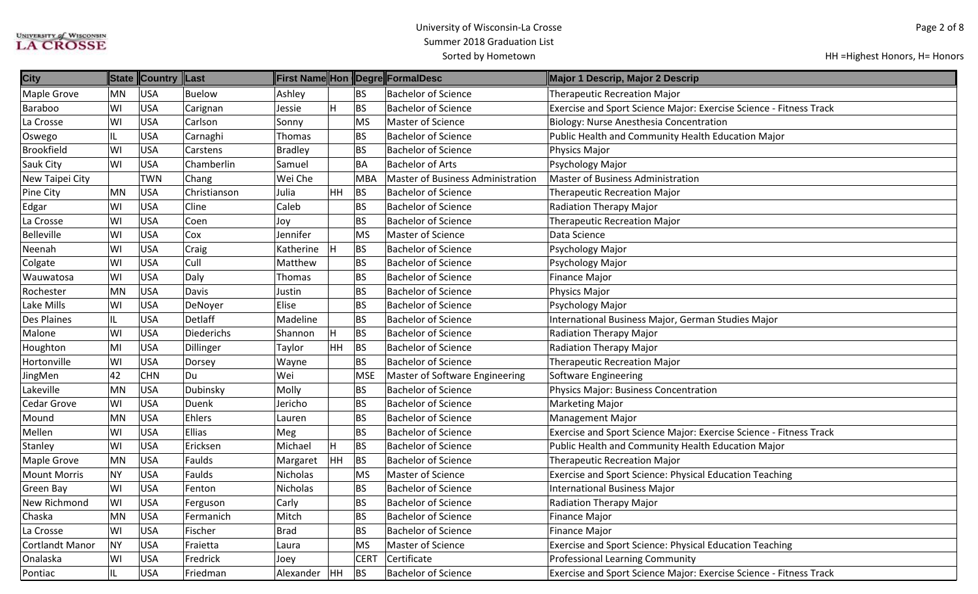| <b>City</b>            |           | State Country Last |                   |                |           |             | First Name Hon Degre FormalDesc          | Major 1 Descrip, Major 2 Descrip                                   |
|------------------------|-----------|--------------------|-------------------|----------------|-----------|-------------|------------------------------------------|--------------------------------------------------------------------|
| <b>Maple Grove</b>     | MN        | <b>USA</b>         | Buelow            | Ashley         |           | BS          | <b>Bachelor of Science</b>               | <b>Therapeutic Recreation Major</b>                                |
| Baraboo                | WI        | <b>USA</b>         | Carignan          | Jessie         |           | BS          | <b>Bachelor of Science</b>               | Exercise and Sport Science Major: Exercise Science - Fitness Track |
| La Crosse              | WI        | <b>USA</b>         | Carlson           | Sonny          |           | <b>MS</b>   | Master of Science                        | Biology: Nurse Anesthesia Concentration                            |
| Oswego                 | IL        | <b>USA</b>         | Carnaghi          | Thomas         |           | <b>BS</b>   | <b>Bachelor of Science</b>               | Public Health and Community Health Education Major                 |
| Brookfield             | WI        | <b>USA</b>         | Carstens          | <b>Bradley</b> |           | <b>BS</b>   | <b>Bachelor of Science</b>               | Physics Major                                                      |
| Sauk City              | WI        | <b>USA</b>         | Chamberlin        | Samuel         |           | <b>BA</b>   | <b>Bachelor of Arts</b>                  | Psychology Major                                                   |
| New Taipei City        |           | <b>TWN</b>         | Chang             | Wei Che        |           | <b>MBA</b>  | <b>Master of Business Administration</b> | <b>Master of Business Administration</b>                           |
| Pine City              | MN        | USA                | Christianson      | Julia          | <b>HH</b> | BS          | <b>Bachelor of Science</b>               | <b>Therapeutic Recreation Major</b>                                |
| Edgar                  | WI        | <b>USA</b>         | Cline             | Caleb          |           | <b>BS</b>   | <b>Bachelor of Science</b>               | Radiation Therapy Major                                            |
| La Crosse              | WI        | <b>USA</b>         | Coen              | Joy            |           | <b>BS</b>   | <b>Bachelor of Science</b>               | <b>Therapeutic Recreation Major</b>                                |
| Belleville             | WI        | <b>USA</b>         | Cox               | Jennifer       |           | <b>MS</b>   | <b>Master of Science</b>                 | Data Science                                                       |
| Neenah                 | WI        | <b>USA</b>         | Craig             | Katherine      |           | <b>BS</b>   | <b>Bachelor of Science</b>               | Psychology Major                                                   |
| Colgate                | WI        | <b>USA</b>         | Cull              | Matthew        |           | <b>BS</b>   | <b>Bachelor of Science</b>               | Psychology Major                                                   |
| Wauwatosa              | WI        | <b>USA</b>         | Daly              | Thomas         |           | <b>BS</b>   | <b>Bachelor of Science</b>               | <b>Finance Major</b>                                               |
| Rochester              | <b>MN</b> | <b>USA</b>         | Davis             | Justin         |           | <b>BS</b>   | <b>Bachelor of Science</b>               | Physics Major                                                      |
| Lake Mills             | WI        | <b>USA</b>         | DeNoyer           | Elise          |           | <b>BS</b>   | <b>Bachelor of Science</b>               | Psychology Major                                                   |
| <b>Des Plaines</b>     | IL        | <b>USA</b>         | Detlaff           | Madeline       |           | <b>BS</b>   | <b>Bachelor of Science</b>               | International Business Major, German Studies Major                 |
| Malone                 | WI        | <b>USA</b>         | <b>Diederichs</b> | Shannon        |           | BS          | <b>Bachelor of Science</b>               | Radiation Therapy Major                                            |
| Houghton               | MI        | <b>USA</b>         | Dillinger         | Taylor         | HH        | BS          | <b>Bachelor of Science</b>               | Radiation Therapy Major                                            |
| Hortonville            | WI        | <b>USA</b>         | Dorsey            | Wayne          |           | <b>BS</b>   | <b>Bachelor of Science</b>               | <b>Therapeutic Recreation Major</b>                                |
| JingMen                | 42        | <b>CHN</b>         | Du                | Wei            |           | <b>MSE</b>  | Master of Software Engineering           | Software Engineering                                               |
| Lakeville              | <b>MN</b> | <b>USA</b>         | Dubinsky          | Molly          |           | BS          | <b>Bachelor of Science</b>               | Physics Major: Business Concentration                              |
| Cedar Grove            | WI        | <b>USA</b>         | Duenk             | Jericho        |           | <b>BS</b>   | <b>Bachelor of Science</b>               | <b>Marketing Major</b>                                             |
| Mound                  | <b>MN</b> | <b>USA</b>         | Ehlers            | Lauren         |           | <b>BS</b>   | <b>Bachelor of Science</b>               | <b>Management Major</b>                                            |
| Mellen                 | WI        | <b>USA</b>         | Ellias            | Meg            |           | BS          | <b>Bachelor of Science</b>               | Exercise and Sport Science Major: Exercise Science - Fitness Track |
| Stanley                | WI        | <b>USA</b>         | Ericksen          | Michael        |           | BS          | <b>Bachelor of Science</b>               | Public Health and Community Health Education Major                 |
| Maple Grove            | MN        | <b>USA</b>         | Faulds            | Margaret       | HH        | BS          | <b>Bachelor of Science</b>               | <b>Therapeutic Recreation Major</b>                                |
| <b>Mount Morris</b>    | <b>NY</b> | <b>USA</b>         | Faulds            | Nicholas       |           | <b>MS</b>   | <b>Master of Science</b>                 | <b>Exercise and Sport Science: Physical Education Teaching</b>     |
| <b>Green Bay</b>       | WI        | <b>USA</b>         | Fenton            | Nicholas       |           | <b>BS</b>   | <b>Bachelor of Science</b>               | <b>International Business Major</b>                                |
| <b>New Richmond</b>    | lwı       | <b>USA</b>         | Ferguson          | Carly          |           | BS          | <b>Bachelor of Science</b>               | Radiation Therapy Major                                            |
| Chaska                 | <b>MN</b> | <b>USA</b>         | Fermanich         | Mitch          |           | <b>BS</b>   | <b>Bachelor of Science</b>               | Finance Major                                                      |
| La Crosse              | WI        | <b>USA</b>         | Fischer           | <b>Brad</b>    |           | BS          | <b>Bachelor of Science</b>               | <b>Finance Major</b>                                               |
| <b>Cortlandt Manor</b> | NY        | <b>USA</b>         | Fraietta          | Laura          |           | MS          | Master of Science                        | Exercise and Sport Science: Physical Education Teaching            |
| Onalaska               | WI        | <b>USA</b>         | Fredrick          | Joey           |           | <b>CERT</b> | Certificate                              | <b>Professional Learning Community</b>                             |
| Pontiac                | IL        | <b>USA</b>         | Friedman          | Alexander HH   |           | <b>BS</b>   | <b>Bachelor of Science</b>               | Exercise and Sport Science Major: Exercise Science - Fitness Track |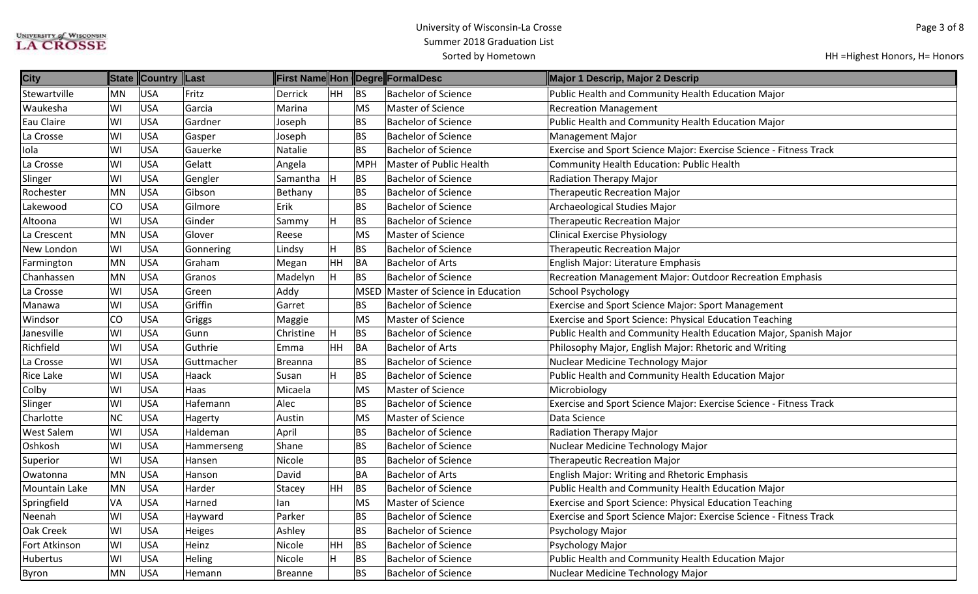| <b>City</b>          |           | State Country Last |            |                |           |            | First Name Hon Degre FormalDesc     | Major 1 Descrip, Major 2 Descrip                                   |
|----------------------|-----------|--------------------|------------|----------------|-----------|------------|-------------------------------------|--------------------------------------------------------------------|
| Stewartville         | MN        | USA                | Fritz      | Derrick        | HH        | BS         | <b>Bachelor of Science</b>          | Public Health and Community Health Education Major                 |
| Waukesha             | WI        | USA                | Garcia     | Marina         |           | <b>MS</b>  | Master of Science                   | <b>Recreation Management</b>                                       |
| Eau Claire           | WI        | <b>USA</b>         | Gardner    | Joseph         |           | <b>BS</b>  | <b>Bachelor of Science</b>          | Public Health and Community Health Education Major                 |
| La Crosse            | WI        | <b>USA</b>         | Gasper     | Joseph         |           | <b>BS</b>  | <b>Bachelor of Science</b>          | <b>Management Major</b>                                            |
| Iola                 | WI        | <b>USA</b>         | Gauerke    | Natalie        |           | <b>BS</b>  | <b>Bachelor of Science</b>          | Exercise and Sport Science Major: Exercise Science - Fitness Track |
| La Crosse            | WI        | USA                | Gelatt     | Angela         |           | <b>MPH</b> | Master of Public Health             | Community Health Education: Public Health                          |
| Slinger              | WI        | USA                | Gengler    | Samantha       | ΙH.       | <b>BS</b>  | <b>Bachelor of Science</b>          | <b>Radiation Therapy Major</b>                                     |
| Rochester            | MN        | USA                | Gibson     | Bethany        |           | <b>BS</b>  | <b>Bachelor of Science</b>          | Therapeutic Recreation Major                                       |
| Lakewood             | CO        | USA                | Gilmore    | Erik           |           | <b>BS</b>  | <b>Bachelor of Science</b>          | Archaeological Studies Major                                       |
| Altoona              | WI        | <b>USA</b>         | Ginder     | Sammy          | H         | <b>BS</b>  | <b>Bachelor of Science</b>          | <b>Therapeutic Recreation Major</b>                                |
| La Crescent          | <b>MN</b> | USA                | Glover     | Reese          |           | <b>MS</b>  | Master of Science                   | <b>Clinical Exercise Physiology</b>                                |
| New London           | WI        | <b>USA</b>         | Gonnering  | Lindsy         | H         | <b>BS</b>  | <b>Bachelor of Science</b>          | <b>Therapeutic Recreation Major</b>                                |
| Farmington           | MN        | USA                | Graham     | Megan          | HH        | <b>BA</b>  | <b>Bachelor of Arts</b>             | English Major: Literature Emphasis                                 |
| Chanhassen           | <b>MN</b> | USA                | Granos     | Madelyn        | H         | <b>BS</b>  | <b>Bachelor of Science</b>          | Recreation Management Major: Outdoor Recreation Emphasis           |
| La Crosse            | WI        | USA                | Green      | Addy           |           |            | MSED Master of Science in Education | <b>School Psychology</b>                                           |
| Manawa               | WI        | <b>USA</b>         | Griffin    | Garret         |           | <b>BS</b>  | <b>Bachelor of Science</b>          | Exercise and Sport Science Major: Sport Management                 |
| Windsor              | CO        | <b>USA</b>         | Griggs     | Maggie         |           | <b>MS</b>  | Master of Science                   | Exercise and Sport Science: Physical Education Teaching            |
| Janesville           | WI        | <b>USA</b>         | Gunn       | Christine      |           | <b>BS</b>  | <b>Bachelor of Science</b>          | Public Health and Community Health Education Major, Spanish Major  |
| Richfield            | WI        | USA                | Guthrie    | Emma           | <b>HH</b> | BA         | <b>Bachelor of Arts</b>             | Philosophy Major, English Major: Rhetoric and Writing              |
| La Crosse            | WI        | USA                | Guttmacher | <b>Breanna</b> |           | <b>BS</b>  | <b>Bachelor of Science</b>          | Nuclear Medicine Technology Major                                  |
| <b>Rice Lake</b>     | WI        | USA                | Haack      | Susan          | н         | <b>BS</b>  | <b>Bachelor of Science</b>          | Public Health and Community Health Education Major                 |
| Colby                | WI        | <b>USA</b>         | Haas       | Micaela        |           | <b>MS</b>  | Master of Science                   | Microbiology                                                       |
| Slinger              | WI        | <b>USA</b>         | Hafemann   | Alec           |           | <b>BS</b>  | <b>Bachelor of Science</b>          | Exercise and Sport Science Major: Exercise Science - Fitness Track |
| Charlotte            | NC        | <b>USA</b>         | Hagerty    | Austin         |           | <b>MS</b>  | Master of Science                   | Data Science                                                       |
| <b>West Salem</b>    | WI        | USA                | Haldeman   | April          |           | <b>BS</b>  | <b>Bachelor of Science</b>          | Radiation Therapy Major                                            |
| Oshkosh              | WI        | USA                | Hammerseng | Shane          |           | <b>BS</b>  | <b>Bachelor of Science</b>          | Nuclear Medicine Technology Major                                  |
| Superior             | WI        | USA                | Hansen     | Nicole         |           | <b>BS</b>  | <b>Bachelor of Science</b>          | <b>Therapeutic Recreation Major</b>                                |
| Owatonna             | <b>MN</b> | USA                | Hanson     | David          |           | BA         | <b>Bachelor of Arts</b>             | <b>English Major: Writing and Rhetoric Emphasis</b>                |
| <b>Mountain Lake</b> | <b>MN</b> | <b>USA</b>         | Harder     | Stacey         | HH        | <b>BS</b>  | <b>Bachelor of Science</b>          | Public Health and Community Health Education Major                 |
| Springfield          | VA        | <b>USA</b>         | Harned     | lan            |           | <b>MS</b>  | Master of Science                   | Exercise and Sport Science: Physical Education Teaching            |
| Neenah               | WI        | USA                | Hayward    | Parker         |           | <b>BS</b>  | <b>Bachelor of Science</b>          | Exercise and Sport Science Major: Exercise Science - Fitness Track |
| Oak Creek            | WI        | USA                | Heiges     | Ashley         |           | <b>BS</b>  | <b>Bachelor of Science</b>          | Psychology Major                                                   |
| Fort Atkinson        | WI        | USA                | Heinz      | Nicole         | HH        | <b>BS</b>  | <b>Bachelor of Science</b>          | Psychology Major                                                   |
| Hubertus             | WI        | USA                | Heling     | Nicole         |           | <b>BS</b>  | <b>Bachelor of Science</b>          | Public Health and Community Health Education Major                 |
| Byron                | MN        | USA                | Hemann     | Breanne        |           | <b>BS</b>  | <b>Bachelor of Science</b>          | Nuclear Medicine Technology Major                                  |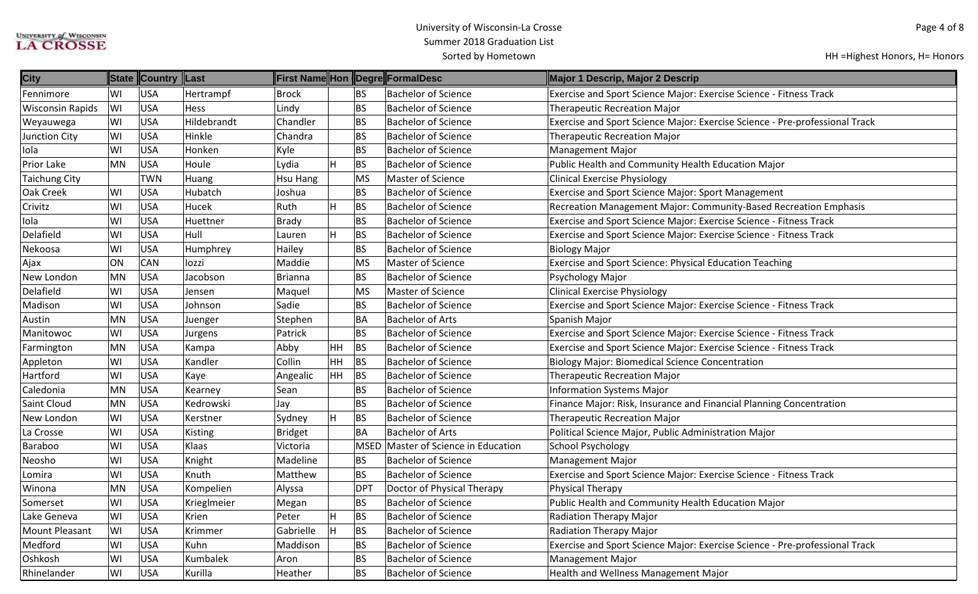| <b>City</b>             |           | State Country Last |             |                |    |                 | First Name Hon Degre FormalDesc | Major 1 Descrip, Major 2 Descrip                                            |
|-------------------------|-----------|--------------------|-------------|----------------|----|-----------------|---------------------------------|-----------------------------------------------------------------------------|
| Fennimore               | lwı       | <b>USA</b>         | Hertrampf   | <b>Brock</b>   |    | <b>BS</b>       | <b>Bachelor of Science</b>      | Exercise and Sport Science Major: Exercise Science - Fitness Track          |
| <b>Wisconsin Rapids</b> | WI        | <b>USA</b>         | <b>Hess</b> | Lindy          |    | <b>BS</b>       | <b>Bachelor of Science</b>      | <b>Therapeutic Recreation Major</b>                                         |
| Weyauwega               | lwı       | <b>USA</b>         | Hildebrandt | Chandler       |    | <b>BS</b>       | <b>Bachelor of Science</b>      | Exercise and Sport Science Major: Exercise Science - Pre-professional Track |
| <b>Junction City</b>    | WI        | <b>USA</b>         | Hinkle      | Chandra        |    | <b>BS</b>       | <b>Bachelor of Science</b>      | Therapeutic Recreation Major                                                |
| Iola                    | WI        | <b>USA</b>         | Honken      | Kyle           |    | <b>BS</b>       | <b>Bachelor of Science</b>      | <b>Management Major</b>                                                     |
| Prior Lake              | MN        | <b>USA</b>         | Houle       | Lydia          | H  | BS              | <b>Bachelor of Science</b>      | Public Health and Community Health Education Major                          |
| <b>Taichung City</b>    |           | TWN                | Huang       | Hsu Hang       |    | <b>MS</b>       | Master of Science               | <b>Clinical Exercise Physiology</b>                                         |
| Oak Creek               | lwı       | <b>USA</b>         | Hubatch     | Joshua         |    | <b>BS</b>       | <b>Bachelor of Science</b>      | <b>Exercise and Sport Science Major: Sport Management</b>                   |
| Crivitz                 | W١        | <b>USA</b>         | Hucek       | Ruth           |    | BS              | <b>Bachelor of Science</b>      | Recreation Management Major: Community-Based Recreation Emphasis            |
| Iola                    | WI        | <b>USA</b>         | Huettner    | <b>Brady</b>   |    | <b>BS</b>       | <b>Bachelor of Science</b>      | Exercise and Sport Science Major: Exercise Science - Fitness Track          |
| Delafield               | WI        | <b>USA</b>         | Hull        | Lauren         |    | BS              | <b>Bachelor of Science</b>      | Exercise and Sport Science Major: Exercise Science - Fitness Track          |
| Nekoosa                 | lwı       | <b>USA</b>         | Humphrey    | Hailey         |    | <b>BS</b>       | <b>Bachelor of Science</b>      | <b>Biology Major</b>                                                        |
| Ajax                    | ON        | <b>CAN</b>         | lozzi       | Maddie         |    | MS              | <b>Master of Science</b>        | <b>Exercise and Sport Science: Physical Education Teaching</b>              |
| New London              | MN        | <b>USA</b>         | Jacobson    | <b>Brianna</b> |    | <b>BS</b>       | <b>Bachelor of Science</b>      | Psychology Major                                                            |
| Delafield               | lwı       | <b>USA</b>         | Jensen      | Maquel         |    | MS              | Master of Science               | <b>Clinical Exercise Physiology</b>                                         |
| Madison                 | WI        | <b>USA</b>         | Johnson     | Sadie          |    | <b>BS</b>       | <b>Bachelor of Science</b>      | Exercise and Sport Science Major: Exercise Science - Fitness Track          |
| Austin                  | MN        | <b>USA</b>         | Juenger     | Stephen        |    | BA              | <b>Bachelor of Arts</b>         | Spanish Major                                                               |
| Manitowoc               | WI        | <b>USA</b>         | Jurgens     | Patrick        |    | BS              | <b>Bachelor of Science</b>      | Exercise and Sport Science Major: Exercise Science - Fitness Track          |
| Farmington              | MN        | <b>USA</b>         | Kampa       | Abby           | HH | BS              | <b>Bachelor of Science</b>      | Exercise and Sport Science Major: Exercise Science - Fitness Track          |
| Appleton                | lwı       | <b>USA</b>         | Kandler     | Collin         | HH | <b>BS</b>       | <b>Bachelor of Science</b>      | <b>Biology Major: Biomedical Science Concentration</b>                      |
| Hartford                | WI        | <b>USA</b>         | Kaye        | Angealic       | HH | BS              | <b>Bachelor of Science</b>      | Therapeutic Recreation Major                                                |
| Caledonia               | MN        | <b>USA</b>         | Kearney     | Sean           |    | <b>BS</b>       | <b>Bachelor of Science</b>      | <b>Information Systems Major</b>                                            |
| Saint Cloud             | MN        | <b>USA</b>         | Kedrowski   | Jay            |    | <b>BS</b>       | <b>Bachelor of Science</b>      | Finance Major: Risk, Insurance and Financial Planning Concentration         |
| New London              | WI        | <b>USA</b>         | Kerstner    | Sydney         | ΙH | <b>BS</b>       | <b>Bachelor of Science</b>      | Therapeutic Recreation Major                                                |
| La Crosse               | WI        | <b>USA</b>         | Kisting     | <b>Bridget</b> |    | BA              | <b>Bachelor of Arts</b>         | Political Science Major, Public Administration Major                        |
| Baraboo                 | WI        | <b>USA</b>         | Klaas       | Victoria       |    | <b>MSED</b>     | Master of Science in Education  | <b>School Psychology</b>                                                    |
| Neosho                  | WI        | <b>USA</b>         | Knight      | Madeline       |    | <b>BS</b>       | <b>Bachelor of Science</b>      | <b>Management Major</b>                                                     |
| Lomira                  | WI        | <b>USA</b>         | Knuth       | Matthew        |    | <b>BS</b>       | <b>Bachelor of Science</b>      | Exercise and Sport Science Major: Exercise Science - Fitness Track          |
| Winona                  | <b>MN</b> | <b>USA</b>         | Kompelien   | Alyssa         |    | DP <sub>1</sub> | Doctor of Physical Therapy      | Physical Therapy                                                            |
| Somerset                | WI        | <b>USA</b>         | Krieglmeier | Megan          |    | <b>BS</b>       | <b>Bachelor of Science</b>      | Public Health and Community Health Education Major                          |
| Lake Geneva             | WI]       | <b>USA</b>         | Krien       | Peter          | H  | BS              | <b>Bachelor of Science</b>      | Radiation Therapy Major                                                     |
| Mount Pleasant          | WI        | <b>USA</b>         | Krimmer     | Gabrielle      |    | <b>BS</b>       | <b>Bachelor of Science</b>      | <b>Radiation Therapy Major</b>                                              |
| Medford                 | WI        | <b>USA</b>         | Kuhn        | Maddison       |    | <b>BS</b>       | <b>Bachelor of Science</b>      | Exercise and Sport Science Major: Exercise Science - Pre-professional Track |
| Oshkosh                 | lwı       | <b>USA</b>         | Kumbalek    | Aron           |    | BS              | <b>Bachelor of Science</b>      | Management Major                                                            |
| Rhinelander             | WI        | <b>USA</b>         | Kurilla     | Heather        |    | BS              | <b>Bachelor of Science</b>      | Health and Wellness Management Major                                        |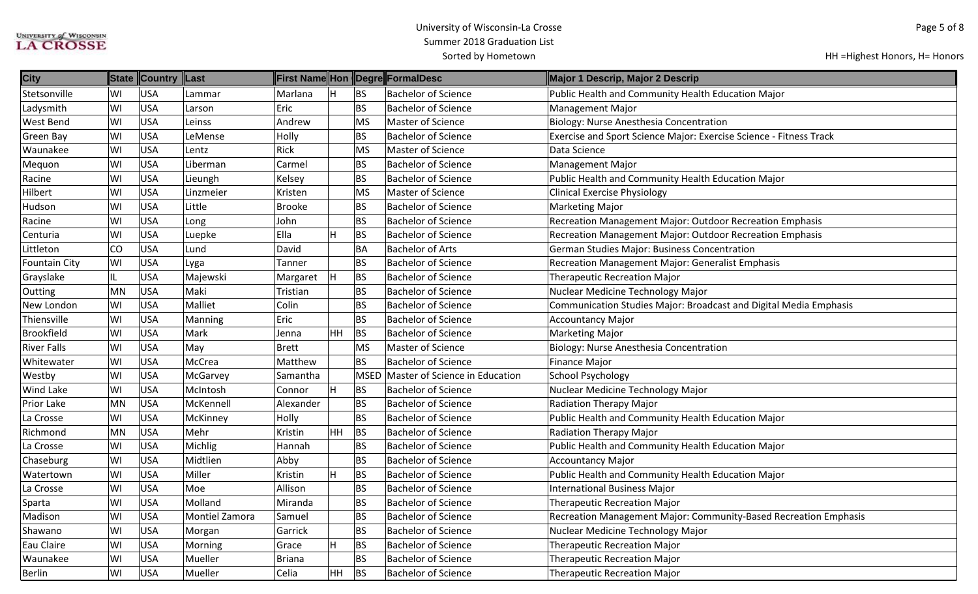| <b>City</b>        |     | State Country Last |                |               |           |           | First Name Hon Degre FormalDesc | Major 1 Descrip, Major 2 Descrip                                   |
|--------------------|-----|--------------------|----------------|---------------|-----------|-----------|---------------------------------|--------------------------------------------------------------------|
| Stetsonville       | lWI | <b>USA</b>         | Lammar         | Marlana       |           | BS        | <b>Bachelor of Science</b>      | Public Health and Community Health Education Major                 |
| Ladysmith          | WI  | <b>USA</b>         | Larson         | Eric          |           | BS        | <b>Bachelor of Science</b>      | <b>Management Major</b>                                            |
| West Bend          | lwı | <b>USA</b>         | Leinss         | Andrew        |           | MS        | Master of Science               | <b>Biology: Nurse Anesthesia Concentration</b>                     |
| Green Bay          | lwı | <b>USA</b>         | LeMense        | Holly         |           | <b>BS</b> | <b>Bachelor of Science</b>      | Exercise and Sport Science Major: Exercise Science - Fitness Track |
| Waunakee           | WI  | <b>USA</b>         | Lentz          | Rick          |           | <b>MS</b> | Master of Science               | Data Science                                                       |
| Mequon             | WI  | <b>USA</b>         | Liberman       | Carmel        |           | <b>BS</b> | <b>Bachelor of Science</b>      | <b>Management Major</b>                                            |
| Racine             | WI  | <b>USA</b>         | Lieungh        | Kelsey        |           | BS        | <b>Bachelor of Science</b>      | Public Health and Community Health Education Major                 |
| Hilbert            | lwı | <b>USA</b>         | Linzmeier      | Kristen       |           | MS        | Master of Science               | <b>Clinical Exercise Physiology</b>                                |
| Hudson             | WI  | <b>USA</b>         | Little         | <b>Brooke</b> |           | <b>BS</b> | <b>Bachelor of Science</b>      | <b>Marketing Major</b>                                             |
| Racine             | WI  | <b>USA</b>         | Long           | John          |           | <b>BS</b> | <b>Bachelor of Science</b>      | Recreation Management Major: Outdoor Recreation Emphasis           |
| Centuria           | WI  | <b>USA</b>         | Luepke         | Ella          |           | <b>BS</b> | <b>Bachelor of Science</b>      | Recreation Management Major: Outdoor Recreation Emphasis           |
| Littleton          | co  | <b>USA</b>         | Lund           | David         |           | BA        | <b>Bachelor of Arts</b>         | German Studies Major: Business Concentration                       |
| Fountain City      | WI  | <b>USA</b>         | Lyga           | Tanner        |           | BS        | <b>Bachelor of Science</b>      | <b>Recreation Management Major: Generalist Emphasis</b>            |
| Grayslake          | IL  | <b>USA</b>         | Majewski       | Margaret      |           | BS        | <b>Bachelor of Science</b>      | <b>Therapeutic Recreation Major</b>                                |
| Outting            | MN  | <b>USA</b>         | Maki           | Tristian      |           | <b>BS</b> | <b>Bachelor of Science</b>      | Nuclear Medicine Technology Major                                  |
| New London         | lwı | <b>USA</b>         | Malliet        | Colin         |           | <b>BS</b> | <b>Bachelor of Science</b>      | Communication Studies Major: Broadcast and Digital Media Emphasis  |
| Thiensville        | lwı | <b>USA</b>         | Manning        | Eric          |           | BS        | <b>Bachelor of Science</b>      | Accountancy Major                                                  |
| <b>Brookfield</b>  | WI  | <b>USA</b>         | Mark           | Jenna         | HH.       | BS        | <b>Bachelor of Science</b>      | <b>Marketing Major</b>                                             |
| <b>River Falls</b> | lwı | <b>USA</b>         | May            | Brett         |           | <b>MS</b> | Master of Science               | <b>Biology: Nurse Anesthesia Concentration</b>                     |
| Whitewater         | lwı | <b>USA</b>         | McCrea         | Matthew       |           | BS        | <b>Bachelor of Science</b>      | <b>Finance Major</b>                                               |
| Westby             | WI  | <b>USA</b>         | McGarvey       | Samantha      |           | MSED      | Master of Science in Education  | School Psychology                                                  |
| Wind Lake          | lwı | <b>USA</b>         | McIntosh       | Connor        |           | <b>BS</b> | <b>Bachelor of Science</b>      | Nuclear Medicine Technology Major                                  |
| Prior Lake         | MN  | <b>USA</b>         | McKennell      | Alexander     |           | <b>BS</b> | <b>Bachelor of Science</b>      | <b>Radiation Therapy Major</b>                                     |
| La Crosse          | lwı | <b>USA</b>         | McKinney       | Holly         |           | BS        | <b>Bachelor of Science</b>      | Public Health and Community Health Education Major                 |
| Richmond           | MN  | <b>USA</b>         | Mehr           | Kristin       | HH.       | <b>BS</b> | <b>Bachelor of Science</b>      | <b>Radiation Therapy Major</b>                                     |
| La Crosse          | lwı | <b>USA</b>         | Michlig        | Hannah        |           | <b>BS</b> | <b>Bachelor of Science</b>      | Public Health and Community Health Education Major                 |
| Chaseburg          | lwı | <b>USA</b>         | Midtlien       | Abby          |           | <b>BS</b> | <b>Bachelor of Science</b>      | <b>Accountancy Major</b>                                           |
| Watertown          | WI  | <b>USA</b>         | Miller         | Kristin       |           | BS        | <b>Bachelor of Science</b>      | Public Health and Community Health Education Major                 |
| La Crosse          | WI  | <b>USA</b>         | Moe            | Allison       |           | <b>BS</b> | <b>Bachelor of Science</b>      | <b>International Business Major</b>                                |
| Sparta             | lwı | <b>USA</b>         | Molland        | Miranda       |           | BS        | <b>Bachelor of Science</b>      | <b>Therapeutic Recreation Major</b>                                |
| Madison            | lwı | <b>USA</b>         | Montiel Zamora | Samuel        |           | <b>BS</b> | <b>Bachelor of Science</b>      | Recreation Management Major: Community-Based Recreation Emphasis   |
| Shawano            | WI  | <b>USA</b>         | Morgan         | Garrick       |           | <b>BS</b> | <b>Bachelor of Science</b>      | Nuclear Medicine Technology Major                                  |
| Eau Claire         | lwı | <b>USA</b>         | Morning        | Grace         |           | BS        | <b>Bachelor of Science</b>      | Therapeutic Recreation Major                                       |
| Waunakee           | lwı | <b>USA</b>         | Mueller        | Briana        |           | <b>BS</b> | <b>Bachelor of Science</b>      | Therapeutic Recreation Major                                       |
| Berlin             | WI  | <b>USA</b>         | Mueller        | Celia         | <b>HH</b> | <b>BS</b> | <b>Bachelor of Science</b>      | <b>Therapeutic Recreation Major</b>                                |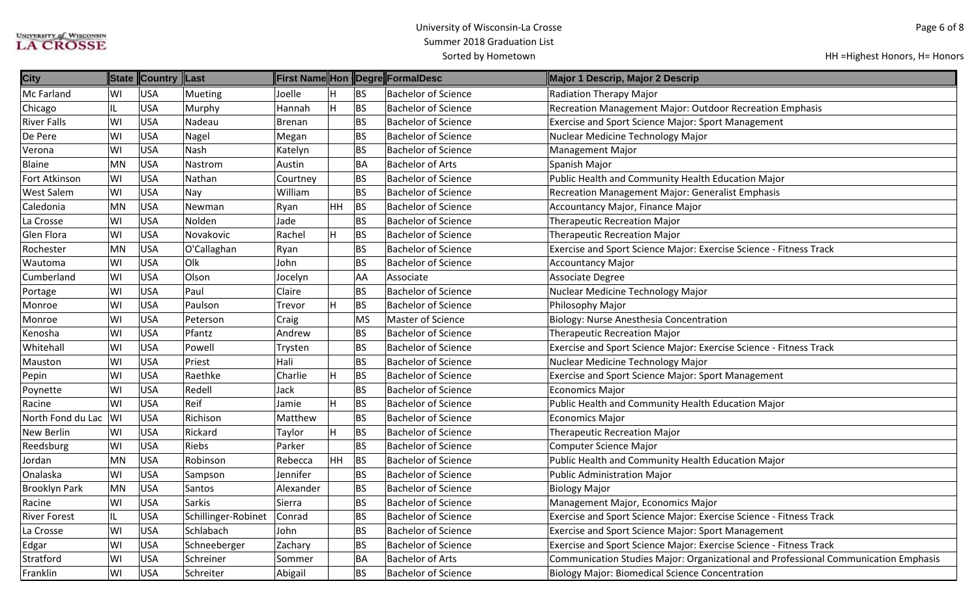| <b>City</b>          |     | State Country Last |                     |               |           |           | First Name Hon Degre FormalDesc | Major 1 Descrip, Major 2 Descrip                                                    |
|----------------------|-----|--------------------|---------------------|---------------|-----------|-----------|---------------------------------|-------------------------------------------------------------------------------------|
| Mc Farland           | WI  | <b>USA</b>         | Mueting             | Joelle        |           | BS        | <b>Bachelor of Science</b>      | <b>Radiation Therapy Major</b>                                                      |
| Chicago              | IL  | <b>USA</b>         | Murphy              | Hannah        |           | BS        | <b>Bachelor of Science</b>      | Recreation Management Major: Outdoor Recreation Emphasis                            |
| <b>River Falls</b>   | WI  | <b>USA</b>         | Nadeau              | <b>Brenan</b> |           | BS        | <b>Bachelor of Science</b>      | Exercise and Sport Science Major: Sport Management                                  |
| De Pere              | WI  | <b>USA</b>         | Nagel               | Megan         |           | BS        | <b>Bachelor of Science</b>      | Nuclear Medicine Technology Major                                                   |
| Verona               | lwı | <b>USA</b>         | Nash                | Katelyn       |           | BS        | <b>Bachelor of Science</b>      | <b>Management Major</b>                                                             |
| Blaine               | MN  | <b>USA</b>         | Nastrom             | Austin        |           | BA        | <b>Bachelor of Arts</b>         | Spanish Major                                                                       |
| Fort Atkinson        | WI  | <b>USA</b>         | Nathan              | Courtney      |           | <b>BS</b> | <b>Bachelor of Science</b>      | Public Health and Community Health Education Major                                  |
| <b>West Salem</b>    | lwı | <b>USA</b>         | Nay                 | William       |           | <b>BS</b> | <b>Bachelor of Science</b>      | Recreation Management Major: Generalist Emphasis                                    |
| Caledonia            | MN  | <b>USA</b>         | Newman              | Ryan          | HH        | BS        | <b>Bachelor of Science</b>      | Accountancy Major, Finance Major                                                    |
| La Crosse            | WI  | <b>USA</b>         | Nolden              | Jade          |           | <b>BS</b> | <b>Bachelor of Science</b>      | <b>Therapeutic Recreation Major</b>                                                 |
| Glen Flora           | WI  | <b>USA</b>         | Novakovic           | Rachel        | H         | <b>BS</b> | <b>Bachelor of Science</b>      | <b>Therapeutic Recreation Major</b>                                                 |
| Rochester            | MN  | <b>USA</b>         | O'Callaghan         | Ryan          |           | BS        | <b>Bachelor of Science</b>      | Exercise and Sport Science Major: Exercise Science - Fitness Track                  |
| Wautoma              | lwı | <b>USA</b>         | Olk                 | John          |           | <b>BS</b> | <b>Bachelor of Science</b>      | <b>Accountancy Major</b>                                                            |
| Cumberland           | WI  | <b>USA</b>         | Olson               | Jocelyn       |           | AA        | Associate                       | <b>Associate Degree</b>                                                             |
| Portage              | WI  | <b>USA</b>         | Paul                | Claire        |           | BS        | <b>Bachelor of Science</b>      | Nuclear Medicine Technology Major                                                   |
| Monroe               | WI  | <b>USA</b>         | Paulson             | Trevor        |           | <b>BS</b> | <b>Bachelor of Science</b>      | Philosophy Major                                                                    |
| Monroe               | WI  | <b>USA</b>         | Peterson            | Craig         |           | MS        | <b>Master of Science</b>        | Biology: Nurse Anesthesia Concentration                                             |
| Kenosha              | WI  | <b>USA</b>         | Pfantz              | Andrew        |           | BS        | <b>Bachelor of Science</b>      | <b>Therapeutic Recreation Major</b>                                                 |
| Whitehall            | WI  | <b>USA</b>         | Powell              | Trysten       |           | BS        | <b>Bachelor of Science</b>      | Exercise and Sport Science Major: Exercise Science - Fitness Track                  |
| Mauston              | lwı | <b>USA</b>         | Priest              | Hali          |           | BS        | <b>Bachelor of Science</b>      | Nuclear Medicine Technology Major                                                   |
| Pepin                | WI  | <b>USA</b>         | Raethke             | Charlie       |           | BS        | <b>Bachelor of Science</b>      | <b>Exercise and Sport Science Major: Sport Management</b>                           |
| Poynette             | WI  | <b>USA</b>         | Redell              | Jack          |           | BS        | <b>Bachelor of Science</b>      | <b>Economics Major</b>                                                              |
| Racine               | WI  | <b>USA</b>         | Reif                | Jamie         | H         | BS        | <b>Bachelor of Science</b>      | Public Health and Community Health Education Major                                  |
| North Fond du Lac    | W   | <b>USA</b>         | Richison            | Matthew       |           | BS        | <b>Bachelor of Science</b>      | <b>Economics Major</b>                                                              |
| New Berlin           | lwı | <b>USA</b>         | Rickard             | Taylor        |           | <b>BS</b> | <b>Bachelor of Science</b>      | <b>Therapeutic Recreation Major</b>                                                 |
| Reedsburg            | lwı | <b>USA</b>         | Riebs               | Parker        |           | <b>BS</b> | <b>Bachelor of Science</b>      | Computer Science Major                                                              |
| Jordan               | MN  | <b>USA</b>         | Robinson            | Rebecca       | <b>HH</b> | BS        | <b>Bachelor of Science</b>      | Public Health and Community Health Education Major                                  |
| Onalaska             | WI  | <b>USA</b>         | Sampson             | Jennifer      |           | <b>BS</b> | <b>Bachelor of Science</b>      | <b>Public Administration Major</b>                                                  |
| <b>Brooklyn Park</b> | MN  | <b>USA</b>         | Santos              | Alexander     |           | <b>BS</b> | <b>Bachelor of Science</b>      | <b>Biology Major</b>                                                                |
| Racine               | lwı | <b>USA</b>         | <b>Sarkis</b>       | Sierra        |           | BS        | <b>Bachelor of Science</b>      | Management Major, Economics Major                                                   |
| <b>River Forest</b>  | IL  | <b>USA</b>         | Schillinger-Robinet | Conrad        |           | BS        | <b>Bachelor of Science</b>      | Exercise and Sport Science Major: Exercise Science - Fitness Track                  |
| La Crosse            | lwı | <b>USA</b>         | Schlabach           | John          |           | BS        | <b>Bachelor of Science</b>      | <b>Exercise and Sport Science Major: Sport Management</b>                           |
| Edgar                | lwı | <b>USA</b>         | Schneeberger        | Zachary       |           | BS        | <b>Bachelor of Science</b>      | Exercise and Sport Science Major: Exercise Science - Fitness Track                  |
| Stratford            | WI  | <b>USA</b>         | Schreiner           | Sommer        |           | <b>BA</b> | <b>Bachelor of Arts</b>         | Communication Studies Major: Organizational and Professional Communication Emphasis |
| Franklin             | WI  | <b>USA</b>         | Schreiter           | Abigail       |           | BS        | <b>Bachelor of Science</b>      | Biology Major: Biomedical Science Concentration                                     |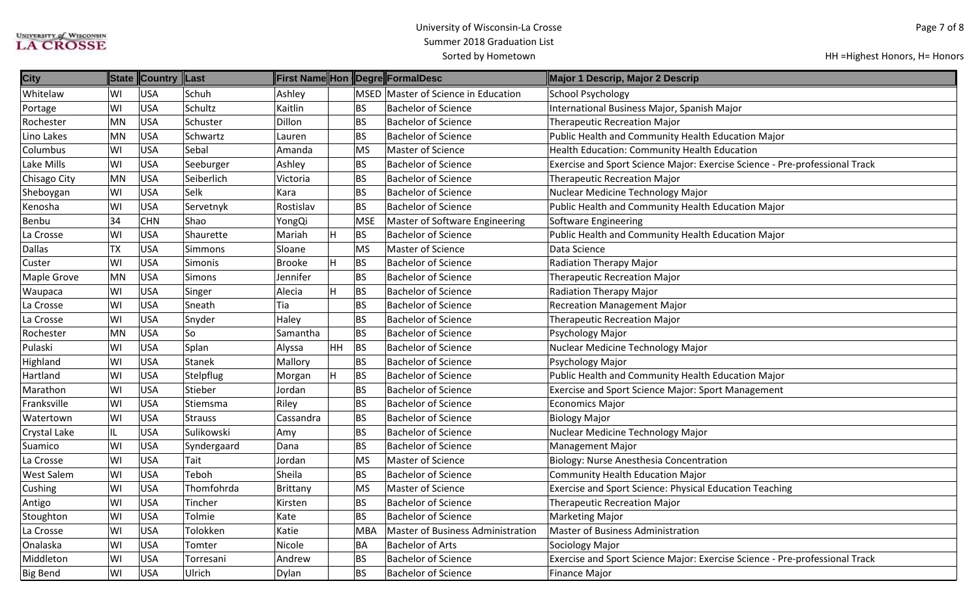| <b>City</b>       |           | State Country Last |                |                 |    |            | <b>First Name Hon Degre FormalDesc</b> | Major 1 Descrip, Major 2 Descrip                                            |
|-------------------|-----------|--------------------|----------------|-----------------|----|------------|----------------------------------------|-----------------------------------------------------------------------------|
| Whitelaw          | lwı       | <b>USA</b>         | Schuh          | Ashley          |    |            | MSED Master of Science in Education    | <b>School Psychology</b>                                                    |
| Portage           | WI        | USA                | Schultz        | Kaitlin         |    | BS         | <b>Bachelor of Science</b>             | International Business Major, Spanish Major                                 |
| Rochester         | MN        | USA                | Schuster       | Dillon          |    | BS         | <b>Bachelor of Science</b>             | <b>Therapeutic Recreation Major</b>                                         |
| Lino Lakes        | MN        | USA                | Schwartz       | Lauren          |    | BS         | <b>Bachelor of Science</b>             | Public Health and Community Health Education Major                          |
| Columbus          | lwı       | <b>USA</b>         | Sebal          | Amanda          |    | <b>MS</b>  | <b>Master of Science</b>               | Health Education: Community Health Education                                |
| Lake Mills        | lwı       | USA                | Seeburger      | Ashley          |    | BS         | <b>Bachelor of Science</b>             | Exercise and Sport Science Major: Exercise Science - Pre-professional Track |
| Chisago City      | MN        | USA                | Seiberlich     | Victoria        |    | BS         | <b>Bachelor of Science</b>             | <b>Therapeutic Recreation Major</b>                                         |
| Sheboygan         | lwı       | USA                | Selk           | Kara            |    | <b>BS</b>  | <b>Bachelor of Science</b>             | Nuclear Medicine Technology Major                                           |
| Kenosha           | lwı       | USA                | Servetnyk      | Rostislav       |    | <b>BS</b>  | <b>Bachelor of Science</b>             | Public Health and Community Health Education Major                          |
| Benbu             | 34        | <b>CHN</b>         | Shao           | YongQi          |    | <b>MSE</b> | Master of Software Engineering         | Software Engineering                                                        |
| La Crosse         | lwı       | USA                | Shaurette      | Mariah          | H. | <b>BS</b>  | <b>Bachelor of Science</b>             | Public Health and Community Health Education Major                          |
| <b>Dallas</b>     | <b>ΤX</b> | <b>USA</b>         | Simmons        | Sloane          |    | <b>MS</b>  | <b>Master of Science</b>               | Data Science                                                                |
| Custer            | lwı       | <b>USA</b>         | Simonis        | Brooke          |    | <b>BS</b>  | <b>Bachelor of Science</b>             | <b>Radiation Therapy Major</b>                                              |
| Maple Grove       | MN        | USA                | Simons         | Jennifer        |    | BS         | <b>Bachelor of Science</b>             | <b>Therapeutic Recreation Major</b>                                         |
| Waupaca           | lwı       | USA                | Singer         | Alecia          | н  | <b>BS</b>  | <b>Bachelor of Science</b>             | <b>Radiation Therapy Major</b>                                              |
| La Crosse         | lwı       | USA                | Sneath         | Tia             |    | BS         | <b>Bachelor of Science</b>             | <b>Recreation Management Major</b>                                          |
| La Crosse         | WI        | <b>USA</b>         | Snyder         | Haley           |    | BS         | <b>Bachelor of Science</b>             | Therapeutic Recreation Major                                                |
| Rochester         | MN        | <b>USA</b>         | So             | Samantha        |    | <b>BS</b>  | <b>Bachelor of Science</b>             | Psychology Major                                                            |
| Pulaski           | lwı       | <b>USA</b>         | Splan          | Alyssa          | HH | BS         | <b>Bachelor of Science</b>             | Nuclear Medicine Technology Major                                           |
| Highland          | WI        | <b>USA</b>         | <b>Stanek</b>  | Mallory         |    | BS         | <b>Bachelor of Science</b>             | Psychology Major                                                            |
| Hartland          | WI        | USA                | Stelpflug      | Morgan          | н  | <b>BS</b>  | <b>Bachelor of Science</b>             | Public Health and Community Health Education Major                          |
| Marathon          | lwı       | USA                | Stieber        | Jordan          |    | BS         | <b>Bachelor of Science</b>             | Exercise and Sport Science Major: Sport Management                          |
| Franksville       | lwı       | USA                | Stiemsma       | Riley           |    | BS         | <b>Bachelor of Science</b>             | <b>Economics Major</b>                                                      |
| Watertown         | lwı       | USA                | <b>Strauss</b> | Cassandra       |    | BS         | <b>Bachelor of Science</b>             | <b>Biology Major</b>                                                        |
| Crystal Lake      | IL        | <b>USA</b>         | Sulikowski     | Amy             |    | BS         | <b>Bachelor of Science</b>             | Nuclear Medicine Technology Major                                           |
| Suamico           | WI        | <b>USA</b>         | Syndergaard    | Dana            |    | BS         | <b>Bachelor of Science</b>             | <b>Management Major</b>                                                     |
| La Crosse         | lwı       | USA                | Tait           | Jordan          |    | <b>MS</b>  | Master of Science                      | Biology: Nurse Anesthesia Concentration                                     |
| <b>West Salem</b> | lwı       | USA                | Teboh          | Sheila          |    | BS         | <b>Bachelor of Science</b>             | <b>Community Health Education Major</b>                                     |
| Cushing           | WI        | <b>USA</b>         | Thomfohrda     | <b>Brittany</b> |    | <b>MS</b>  | Master of Science                      | Exercise and Sport Science: Physical Education Teaching                     |
| Antigo            | WI        | USA                | Tincher        | Kirsten         |    | BS         | <b>Bachelor of Science</b>             | <b>Therapeutic Recreation Major</b>                                         |
| Stoughton         | lwı       | USA                | Tolmie         | Kate            |    | <b>BS</b>  | <b>Bachelor of Science</b>             | <b>Marketing Major</b>                                                      |
| La Crosse         | WI        | USA                | Tolokken       | Katie           |    | <b>MBA</b> | Master of Business Administration      | Master of Business Administration                                           |
| Onalaska          | lwı       | USA                | Tomter         | Nicole          |    | BA         | <b>Bachelor of Arts</b>                | Sociology Major                                                             |
| Middleton         | WI        | USA                | Torresani      | Andrew          |    | <b>BS</b>  | <b>Bachelor of Science</b>             | Exercise and Sport Science Major: Exercise Science - Pre-professional Track |
| <b>Big Bend</b>   | WI        | USA                | Ulrich         | Dylan           |    | ΒS         | <b>Bachelor of Science</b>             | <b>Finance Major</b>                                                        |
|                   |           |                    |                |                 |    |            |                                        |                                                                             |